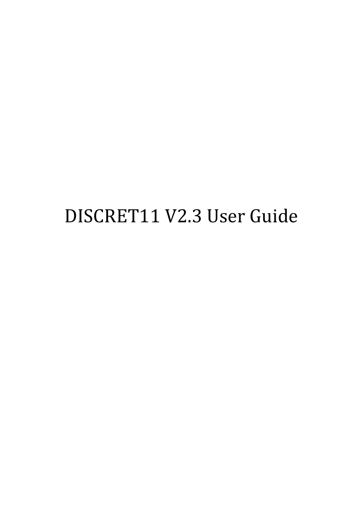## DISCRET11 V2.3 User Guide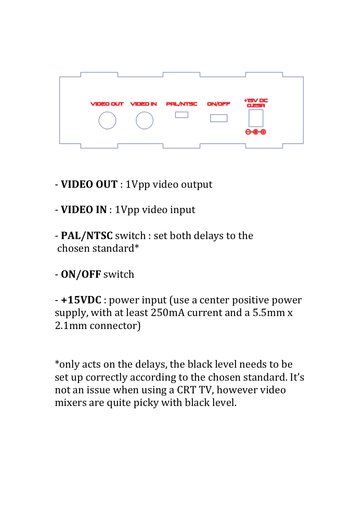

- **VIDEO OUT** : 1Vpp video output
- **VIDEO IN** : 1Vpp video input
- **PAL/NTSC** switch : set both delays to the chosen standard\*
- **ON/OFF** switch

- **+15VDC** : power input (use a center positive power supply, with at least 250mA current and a 5.5mm x 2.1mm connector)

\*only acts on the delays, the black level needs to be set up correctly according to the chosen standard. It's not an issue when using a CRT TV, however video mixers are quite picky with black level.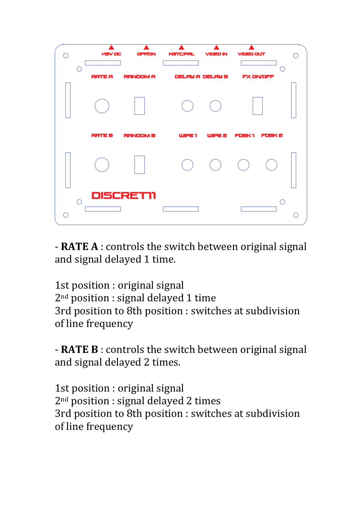

- RATE A : controls the switch between original signal and signal delayed 1 time.

1st position : original signal  $2<sup>nd</sup>$  position : signal delayed 1 time 3rd position to 8th position : switches at subdivision of line frequency

- **RATE B** : controls the switch between original signal and signal delayed 2 times.

1st position : original signal  $2<sup>nd</sup>$  position : signal delayed 2 times 3rd position to 8th position : switches at subdivision of line frequency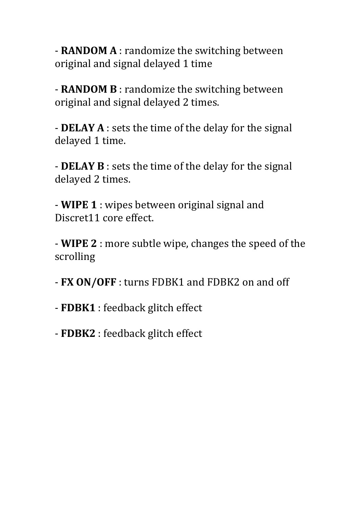- **RANDOM A** : randomize the switching between original and signal delayed 1 time

- **RANDOM B** : randomize the switching between original and signal delayed 2 times.

- DELAY A : sets the time of the delay for the signal delayed 1 time.

- **DELAY B** : sets the time of the delay for the signal delayed 2 times.

- **WIPE 1** : wipes between original signal and Discret11 core effect.

- **WIPE 2** : more subtle wipe, changes the speed of the scrolling

- FX ON/OFF : turns FDBK1 and FDBK2 on and off

- FDBK1 : feedback glitch effect

- FDBK2 : feedback glitch effect